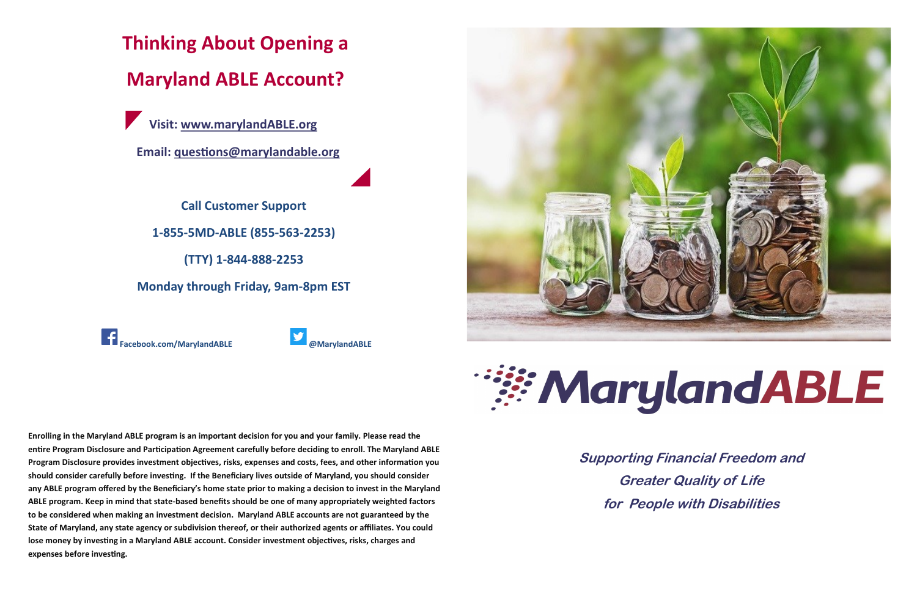**Supporting Financial Freedom and Greater Quality of Life for People with Disabilities** 

# **WarylandABLE**





**Enrolling in the Maryland ABLE program is an important decision for you and your family. Please read the entire Program Disclosure and Participation Agreement carefully before deciding to enroll. The Maryland ABLE Program Disclosure provides investment objectives, risks, expenses and costs, fees, and other information you should consider carefully before investing. If the Beneficiary lives outside of Maryland, you should consider any ABLE program offered by the Beneficiary's home state prior to making a decision to invest in the Maryland ABLE program. Keep in mind that state-based benefits should be one of many appropriately weighted factors to be considered when making an investment decision. Maryland ABLE accounts are not guaranteed by the State of Maryland, any state agency or subdivision thereof, or their authorized agents or affiliates. You could lose money by investing in a Maryland ABLE account. Consider investment objectives, risks, charges and expenses before investing.**

**Thinking About Opening a** 

**Maryland ABLE Account?**

**Visit: www.[marylandABLE.org](http://www.marylandable.org)**

**Email: [questions@marylandable.org](mailto:questions@marylandable.org)**

**Call Customer Support** 

**1-855-5MD-ABLE (855-563-2253)** 

**(TTY) 1-844-888-2253** 

**Monday through Friday, 9am-8pm EST** 

**Facebook.com/MarylandABLE @MarylandABLE**